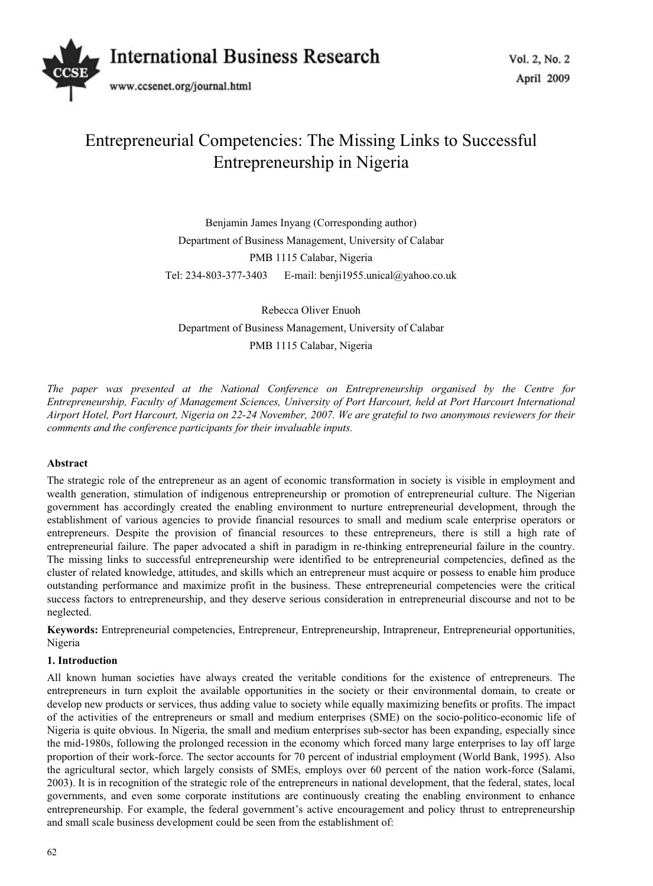

# Entrepreneurial Competencies: The Missing Links to Successful Entrepreneurship in Nigeria

Benjamin James Inyang (Corresponding author) Department of Business Management, University of Calabar PMB 1115 Calabar, Nigeria Tel: 234-803-377-3403 E-mail: benji1955.unical@yahoo.co.uk

Rebecca Oliver Enuoh Department of Business Management, University of Calabar PMB 1115 Calabar, Nigeria

*The paper was presented at the National Conference on Entrepreneurship organised by the Centre for Entrepreneurship, Faculty of Management Sciences, University of Port Harcourt, held at Port Harcourt International Airport Hotel, Port Harcourt, Nigeria on 22-24 November, 2007. We are grateful to two anonymous reviewers for their comments and the conference participants for their invaluable inputs.* 

# **Abstract**

The strategic role of the entrepreneur as an agent of economic transformation in society is visible in employment and wealth generation, stimulation of indigenous entrepreneurship or promotion of entrepreneurial culture. The Nigerian government has accordingly created the enabling environment to nurture entrepreneurial development, through the establishment of various agencies to provide financial resources to small and medium scale enterprise operators or entrepreneurs. Despite the provision of financial resources to these entrepreneurs, there is still a high rate of entrepreneurial failure. The paper advocated a shift in paradigm in re-thinking entrepreneurial failure in the country. The missing links to successful entrepreneurship were identified to be entrepreneurial competencies, defined as the cluster of related knowledge, attitudes, and skills which an entrepreneur must acquire or possess to enable him produce outstanding performance and maximize profit in the business. These entrepreneurial competencies were the critical success factors to entrepreneurship, and they deserve serious consideration in entrepreneurial discourse and not to be neglected.

**Keywords:** Entrepreneurial competencies, Entrepreneur, Entrepreneurship, Intrapreneur, Entrepreneurial opportunities, Nigeria

# **1. Introduction**

All known human societies have always created the veritable conditions for the existence of entrepreneurs. The entrepreneurs in turn exploit the available opportunities in the society or their environmental domain, to create or develop new products or services, thus adding value to society while equally maximizing benefits or profits. The impact of the activities of the entrepreneurs or small and medium enterprises (SME) on the socio-politico-economic life of Nigeria is quite obvious. In Nigeria, the small and medium enterprises sub-sector has been expanding, especially since the mid-1980s, following the prolonged recession in the economy which forced many large enterprises to lay off large proportion of their work-force. The sector accounts for 70 percent of industrial employment (World Bank, 1995). Also the agricultural sector, which largely consists of SMEs, employs over 60 percent of the nation work-force (Salami, 2003). It is in recognition of the strategic role of the entrepreneurs in national development, that the federal, states, local governments, and even some corporate institutions are continuously creating the enabling environment to enhance entrepreneurship. For example, the federal government's active encouragement and policy thrust to entrepreneurship and small scale business development could be seen from the establishment of: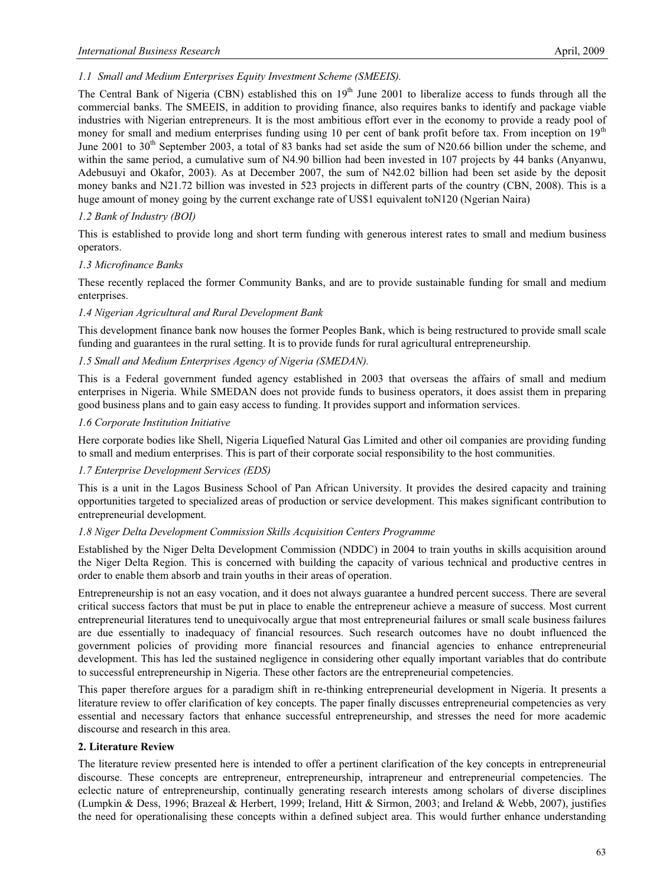# *1.1 Small and Medium Enterprises Equity Investment Scheme (SMEEIS).*

The Central Bank of Nigeria (CBN) established this on  $19<sup>th</sup>$  June 2001 to liberalize access to funds through all the commercial banks. The SMEEIS, in addition to providing finance, also requires banks to identify and package viable industries with Nigerian entrepreneurs. It is the most ambitious effort ever in the economy to provide a ready pool of money for small and medium enterprises funding using 10 per cent of bank profit before tax. From inception on 19<sup>th</sup> June 2001 to 30<sup>th</sup> September 2003, a total of 83 banks had set aside the sum of N20.66 billion under the scheme, and within the same period, a cumulative sum of N4.90 billion had been invested in 107 projects by 44 banks (Anyanwu, Adebusuyi and Okafor, 2003). As at December 2007, the sum of N42.02 billion had been set aside by the deposit money banks and N21.72 billion was invested in 523 projects in different parts of the country (CBN, 2008). This is a huge amount of money going by the current exchange rate of US\$1 equivalent toN120 (Ngerian Naira)

# *1.2 Bank of Industry (BOI)*

This is established to provide long and short term funding with generous interest rates to small and medium business operators.

## *1.3 Microfinance Banks*

These recently replaced the former Community Banks, and are to provide sustainable funding for small and medium enterprises.

## *1.4 Nigerian Agricultural and Rural Development Bank*

This development finance bank now houses the former Peoples Bank, which is being restructured to provide small scale funding and guarantees in the rural setting. It is to provide funds for rural agricultural entrepreneurship.

## *1.5 Small and Medium Enterprises Agency of Nigeria (SMEDAN).*

This is a Federal government funded agency established in 2003 that overseas the affairs of small and medium enterprises in Nigeria. While SMEDAN does not provide funds to business operators, it does assist them in preparing good business plans and to gain easy access to funding. It provides support and information services.

#### *1.6 Corporate Institution Initiative*

Here corporate bodies like Shell, Nigeria Liquefied Natural Gas Limited and other oil companies are providing funding to small and medium enterprises. This is part of their corporate social responsibility to the host communities.

## *1.7 Enterprise Development Services (EDS)*

This is a unit in the Lagos Business School of Pan African University. It provides the desired capacity and training opportunities targeted to specialized areas of production or service development. This makes significant contribution to entrepreneurial development.

#### *1.8 Niger Delta Development Commission Skills Acquisition Centers Programme*

Established by the Niger Delta Development Commission (NDDC) in 2004 to train youths in skills acquisition around the Niger Delta Region. This is concerned with building the capacity of various technical and productive centres in order to enable them absorb and train youths in their areas of operation.

Entrepreneurship is not an easy vocation, and it does not always guarantee a hundred percent success. There are several critical success factors that must be put in place to enable the entrepreneur achieve a measure of success. Most current entrepreneurial literatures tend to unequivocally argue that most entrepreneurial failures or small scale business failures are due essentially to inadequacy of financial resources. Such research outcomes have no doubt influenced the government policies of providing more financial resources and financial agencies to enhance entrepreneurial development. This has led the sustained negligence in considering other equally important variables that do contribute to successful entrepreneurship in Nigeria. These other factors are the entrepreneurial competencies.

This paper therefore argues for a paradigm shift in re-thinking entrepreneurial development in Nigeria. It presents a literature review to offer clarification of key concepts. The paper finally discusses entrepreneurial competencies as very essential and necessary factors that enhance successful entrepreneurship, and stresses the need for more academic discourse and research in this area.

## **2. Literature Review**

The literature review presented here is intended to offer a pertinent clarification of the key concepts in entrepreneurial discourse. These concepts are entrepreneur, entrepreneurship, intrapreneur and entrepreneurial competencies. The eclectic nature of entrepreneurship, continually generating research interests among scholars of diverse disciplines (Lumpkin & Dess, 1996; Brazeal & Herbert, 1999; Ireland, Hitt & Sirmon, 2003; and Ireland & Webb, 2007), justifies the need for operationalising these concepts within a defined subject area. This would further enhance understanding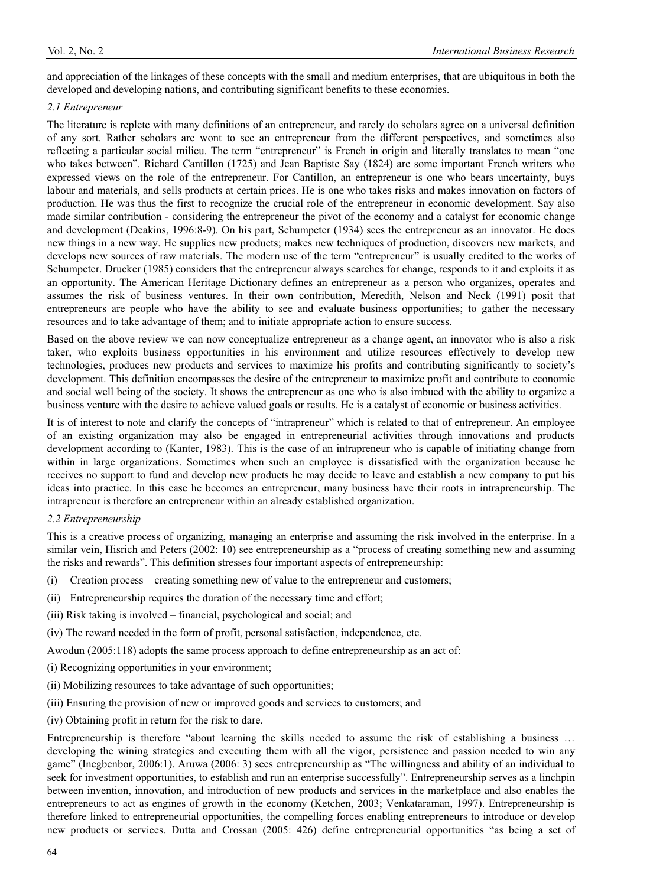and appreciation of the linkages of these concepts with the small and medium enterprises, that are ubiquitous in both the developed and developing nations, and contributing significant benefits to these economies.

## *2.1 Entrepreneur*

The literature is replete with many definitions of an entrepreneur, and rarely do scholars agree on a universal definition of any sort. Rather scholars are wont to see an entrepreneur from the different perspectives, and sometimes also reflecting a particular social milieu. The term "entrepreneur" is French in origin and literally translates to mean "one who takes between". Richard Cantillon (1725) and Jean Baptiste Say (1824) are some important French writers who expressed views on the role of the entrepreneur. For Cantillon, an entrepreneur is one who bears uncertainty, buys labour and materials, and sells products at certain prices. He is one who takes risks and makes innovation on factors of production. He was thus the first to recognize the crucial role of the entrepreneur in economic development. Say also made similar contribution - considering the entrepreneur the pivot of the economy and a catalyst for economic change and development (Deakins, 1996:8-9). On his part, Schumpeter (1934) sees the entrepreneur as an innovator. He does new things in a new way. He supplies new products; makes new techniques of production, discovers new markets, and develops new sources of raw materials. The modern use of the term "entrepreneur" is usually credited to the works of Schumpeter. Drucker (1985) considers that the entrepreneur always searches for change, responds to it and exploits it as an opportunity. The American Heritage Dictionary defines an entrepreneur as a person who organizes, operates and assumes the risk of business ventures. In their own contribution, Meredith, Nelson and Neck (1991) posit that entrepreneurs are people who have the ability to see and evaluate business opportunities; to gather the necessary resources and to take advantage of them; and to initiate appropriate action to ensure success.

Based on the above review we can now conceptualize entrepreneur as a change agent, an innovator who is also a risk taker, who exploits business opportunities in his environment and utilize resources effectively to develop new technologies, produces new products and services to maximize his profits and contributing significantly to society's development. This definition encompasses the desire of the entrepreneur to maximize profit and contribute to economic and social well being of the society. It shows the entrepreneur as one who is also imbued with the ability to organize a business venture with the desire to achieve valued goals or results. He is a catalyst of economic or business activities.

It is of interest to note and clarify the concepts of "intrapreneur" which is related to that of entrepreneur. An employee of an existing organization may also be engaged in entrepreneurial activities through innovations and products development according to (Kanter, 1983). This is the case of an intrapreneur who is capable of initiating change from within in large organizations. Sometimes when such an employee is dissatisfied with the organization because he receives no support to fund and develop new products he may decide to leave and establish a new company to put his ideas into practice. In this case he becomes an entrepreneur, many business have their roots in intrapreneurship. The intrapreneur is therefore an entrepreneur within an already established organization.

## *2.2 Entrepreneurship*

This is a creative process of organizing, managing an enterprise and assuming the risk involved in the enterprise. In a similar vein, Hisrich and Peters (2002: 10) see entrepreneurship as a "process of creating something new and assuming the risks and rewards". This definition stresses four important aspects of entrepreneurship:

- (i) Creation process creating something new of value to the entrepreneur and customers;
- (ii) Entrepreneurship requires the duration of the necessary time and effort;
- (iii) Risk taking is involved financial, psychological and social; and
- (iv) The reward needed in the form of profit, personal satisfaction, independence, etc.

Awodun (2005:118) adopts the same process approach to define entrepreneurship as an act of:

- (i) Recognizing opportunities in your environment;
- (ii) Mobilizing resources to take advantage of such opportunities;
- (iii) Ensuring the provision of new or improved goods and services to customers; and
- (iv) Obtaining profit in return for the risk to dare.

Entrepreneurship is therefore "about learning the skills needed to assume the risk of establishing a business … developing the wining strategies and executing them with all the vigor, persistence and passion needed to win any game" (Inegbenbor, 2006:1). Aruwa (2006: 3) sees entrepreneurship as "The willingness and ability of an individual to seek for investment opportunities, to establish and run an enterprise successfully". Entrepreneurship serves as a linchpin between invention, innovation, and introduction of new products and services in the marketplace and also enables the entrepreneurs to act as engines of growth in the economy (Ketchen, 2003; Venkataraman, 1997). Entrepreneurship is therefore linked to entrepreneurial opportunities, the compelling forces enabling entrepreneurs to introduce or develop new products or services. Dutta and Crossan (2005: 426) define entrepreneurial opportunities "as being a set of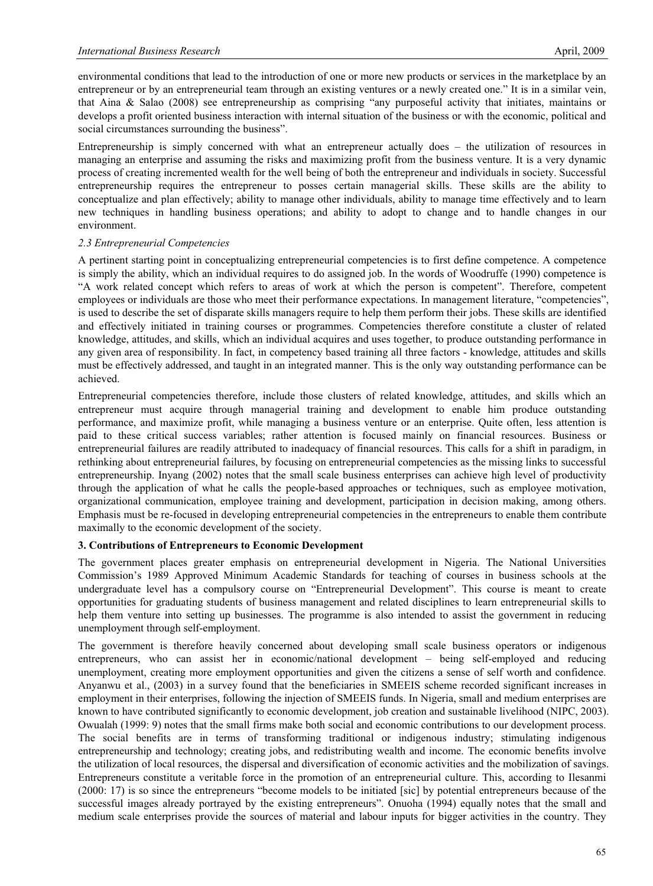environmental conditions that lead to the introduction of one or more new products or services in the marketplace by an entrepreneur or by an entrepreneurial team through an existing ventures or a newly created one." It is in a similar vein, that Aina & Salao (2008) see entrepreneurship as comprising "any purposeful activity that initiates, maintains or develops a profit oriented business interaction with internal situation of the business or with the economic, political and social circumstances surrounding the business".

Entrepreneurship is simply concerned with what an entrepreneur actually does – the utilization of resources in managing an enterprise and assuming the risks and maximizing profit from the business venture. It is a very dynamic process of creating incremented wealth for the well being of both the entrepreneur and individuals in society. Successful entrepreneurship requires the entrepreneur to posses certain managerial skills. These skills are the ability to conceptualize and plan effectively; ability to manage other individuals, ability to manage time effectively and to learn new techniques in handling business operations; and ability to adopt to change and to handle changes in our environment.

#### *2.3 Entrepreneurial Competencies*

A pertinent starting point in conceptualizing entrepreneurial competencies is to first define competence. A competence is simply the ability, which an individual requires to do assigned job. In the words of Woodruffe (1990) competence is "A work related concept which refers to areas of work at which the person is competent". Therefore, competent employees or individuals are those who meet their performance expectations. In management literature, "competencies", is used to describe the set of disparate skills managers require to help them perform their jobs. These skills are identified and effectively initiated in training courses or programmes. Competencies therefore constitute a cluster of related knowledge, attitudes, and skills, which an individual acquires and uses together, to produce outstanding performance in any given area of responsibility. In fact, in competency based training all three factors - knowledge, attitudes and skills must be effectively addressed, and taught in an integrated manner. This is the only way outstanding performance can be achieved.

Entrepreneurial competencies therefore, include those clusters of related knowledge, attitudes, and skills which an entrepreneur must acquire through managerial training and development to enable him produce outstanding performance, and maximize profit, while managing a business venture or an enterprise. Quite often, less attention is paid to these critical success variables; rather attention is focused mainly on financial resources. Business or entrepreneurial failures are readily attributed to inadequacy of financial resources. This calls for a shift in paradigm, in rethinking about entrepreneurial failures, by focusing on entrepreneurial competencies as the missing links to successful entrepreneurship. Inyang (2002) notes that the small scale business enterprises can achieve high level of productivity through the application of what he calls the people-based approaches or techniques, such as employee motivation, organizational communication, employee training and development, participation in decision making, among others. Emphasis must be re-focused in developing entrepreneurial competencies in the entrepreneurs to enable them contribute maximally to the economic development of the society.

## **3. Contributions of Entrepreneurs to Economic Development**

The government places greater emphasis on entrepreneurial development in Nigeria. The National Universities Commission's 1989 Approved Minimum Academic Standards for teaching of courses in business schools at the undergraduate level has a compulsory course on "Entrepreneurial Development". This course is meant to create opportunities for graduating students of business management and related disciplines to learn entrepreneurial skills to help them venture into setting up businesses. The programme is also intended to assist the government in reducing unemployment through self-employment.

The government is therefore heavily concerned about developing small scale business operators or indigenous entrepreneurs, who can assist her in economic/national development – being self-employed and reducing unemployment, creating more employment opportunities and given the citizens a sense of self worth and confidence. Anyanwu et al., (2003) in a survey found that the beneficiaries in SMEEIS scheme recorded significant increases in employment in their enterprises, following the injection of SMEEIS funds. In Nigeria, small and medium enterprises are known to have contributed significantly to economic development, job creation and sustainable livelihood (NIPC, 2003). Owualah (1999: 9) notes that the small firms make both social and economic contributions to our development process. The social benefits are in terms of transforming traditional or indigenous industry; stimulating indigenous entrepreneurship and technology; creating jobs, and redistributing wealth and income. The economic benefits involve the utilization of local resources, the dispersal and diversification of economic activities and the mobilization of savings. Entrepreneurs constitute a veritable force in the promotion of an entrepreneurial culture. This, according to Ilesanmi (2000: 17) is so since the entrepreneurs "become models to be initiated [sic] by potential entrepreneurs because of the successful images already portrayed by the existing entrepreneurs". Onuoha (1994) equally notes that the small and medium scale enterprises provide the sources of material and labour inputs for bigger activities in the country. They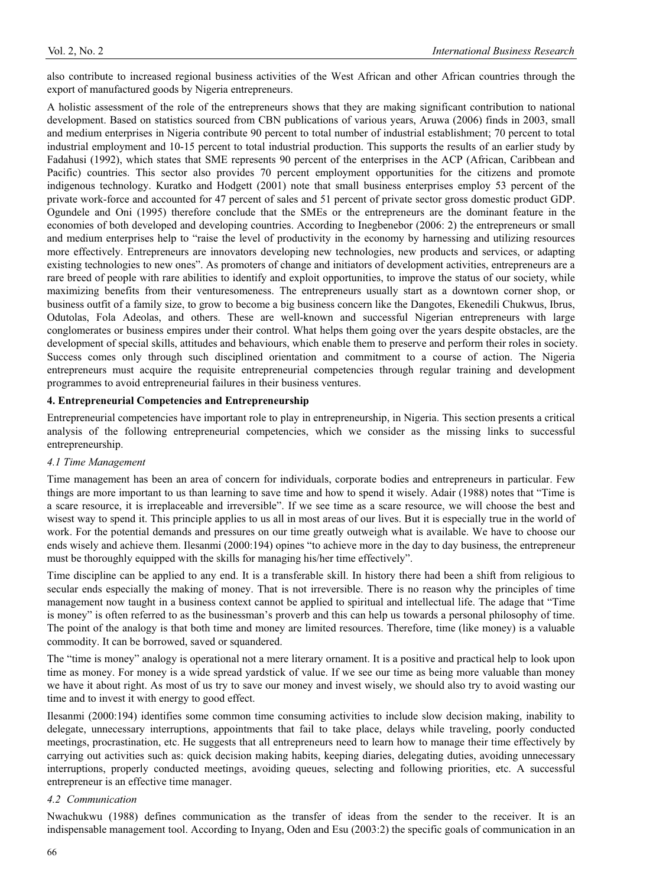also contribute to increased regional business activities of the West African and other African countries through the export of manufactured goods by Nigeria entrepreneurs.

A holistic assessment of the role of the entrepreneurs shows that they are making significant contribution to national development. Based on statistics sourced from CBN publications of various years, Aruwa (2006) finds in 2003, small and medium enterprises in Nigeria contribute 90 percent to total number of industrial establishment; 70 percent to total industrial employment and 10-15 percent to total industrial production. This supports the results of an earlier study by Fadahusi (1992), which states that SME represents 90 percent of the enterprises in the ACP (African, Caribbean and Pacific) countries. This sector also provides 70 percent employment opportunities for the citizens and promote indigenous technology. Kuratko and Hodgett (2001) note that small business enterprises employ 53 percent of the private work-force and accounted for 47 percent of sales and 51 percent of private sector gross domestic product GDP. Ogundele and Oni (1995) therefore conclude that the SMEs or the entrepreneurs are the dominant feature in the economies of both developed and developing countries. According to Inegbenebor (2006: 2) the entrepreneurs or small and medium enterprises help to "raise the level of productivity in the economy by harnessing and utilizing resources more effectively. Entrepreneurs are innovators developing new technologies, new products and services, or adapting existing technologies to new ones". As promoters of change and initiators of development activities, entrepreneurs are a rare breed of people with rare abilities to identify and exploit opportunities, to improve the status of our society, while maximizing benefits from their venturesomeness. The entrepreneurs usually start as a downtown corner shop, or business outfit of a family size, to grow to become a big business concern like the Dangotes, Ekenedili Chukwus, Ibrus, Odutolas, Fola Adeolas, and others. These are well-known and successful Nigerian entrepreneurs with large conglomerates or business empires under their control. What helps them going over the years despite obstacles, are the development of special skills, attitudes and behaviours, which enable them to preserve and perform their roles in society. Success comes only through such disciplined orientation and commitment to a course of action. The Nigeria entrepreneurs must acquire the requisite entrepreneurial competencies through regular training and development programmes to avoid entrepreneurial failures in their business ventures.

# **4. Entrepreneurial Competencies and Entrepreneurship**

Entrepreneurial competencies have important role to play in entrepreneurship, in Nigeria. This section presents a critical analysis of the following entrepreneurial competencies, which we consider as the missing links to successful entrepreneurship.

## *4.1 Time Management*

Time management has been an area of concern for individuals, corporate bodies and entrepreneurs in particular. Few things are more important to us than learning to save time and how to spend it wisely. Adair (1988) notes that "Time is a scare resource, it is irreplaceable and irreversible". If we see time as a scare resource, we will choose the best and wisest way to spend it. This principle applies to us all in most areas of our lives. But it is especially true in the world of work. For the potential demands and pressures on our time greatly outweigh what is available. We have to choose our ends wisely and achieve them. Ilesanmi (2000:194) opines "to achieve more in the day to day business, the entrepreneur must be thoroughly equipped with the skills for managing his/her time effectively".

Time discipline can be applied to any end. It is a transferable skill. In history there had been a shift from religious to secular ends especially the making of money. That is not irreversible. There is no reason why the principles of time management now taught in a business context cannot be applied to spiritual and intellectual life. The adage that "Time is money" is often referred to as the businessman's proverb and this can help us towards a personal philosophy of time. The point of the analogy is that both time and money are limited resources. Therefore, time (like money) is a valuable commodity. It can be borrowed, saved or squandered.

The "time is money" analogy is operational not a mere literary ornament. It is a positive and practical help to look upon time as money. For money is a wide spread yardstick of value. If we see our time as being more valuable than money we have it about right. As most of us try to save our money and invest wisely, we should also try to avoid wasting our time and to invest it with energy to good effect.

Ilesanmi (2000:194) identifies some common time consuming activities to include slow decision making, inability to delegate, unnecessary interruptions, appointments that fail to take place, delays while traveling, poorly conducted meetings, procrastination, etc. He suggests that all entrepreneurs need to learn how to manage their time effectively by carrying out activities such as: quick decision making habits, keeping diaries, delegating duties, avoiding unnecessary interruptions, properly conducted meetings, avoiding queues, selecting and following priorities, etc. A successful entrepreneur is an effective time manager.

## *4.2 Communication*

Nwachukwu (1988) defines communication as the transfer of ideas from the sender to the receiver. It is an indispensable management tool. According to Inyang, Oden and Esu (2003:2) the specific goals of communication in an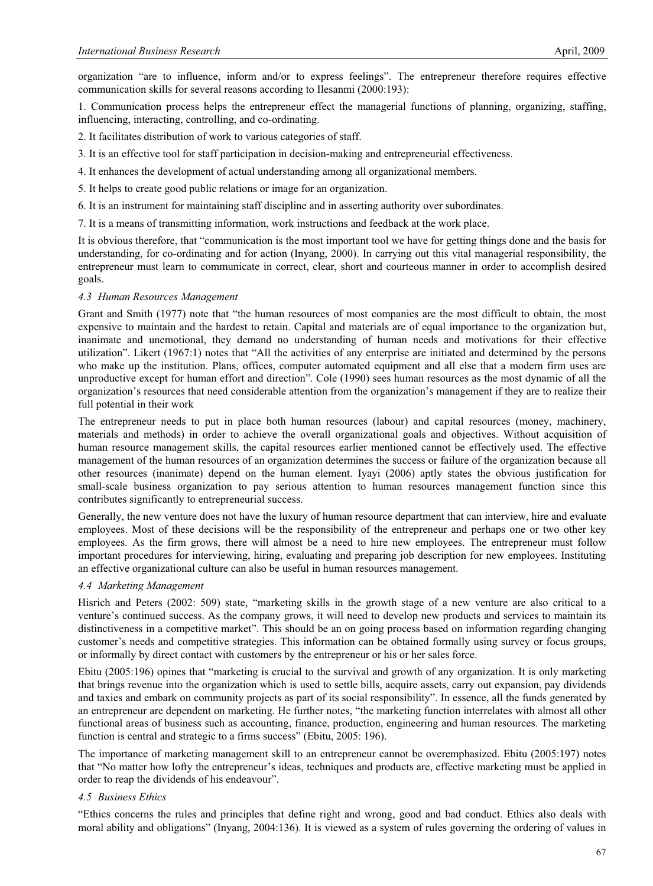organization "are to influence, inform and/or to express feelings". The entrepreneur therefore requires effective communication skills for several reasons according to Ilesanmi (2000:193):

1. Communication process helps the entrepreneur effect the managerial functions of planning, organizing, staffing, influencing, interacting, controlling, and co-ordinating.

- 2. It facilitates distribution of work to various categories of staff.
- 3. It is an effective tool for staff participation in decision-making and entrepreneurial effectiveness.
- 4. It enhances the development of actual understanding among all organizational members.
- 5. It helps to create good public relations or image for an organization.
- 6. It is an instrument for maintaining staff discipline and in asserting authority over subordinates.
- 7. It is a means of transmitting information, work instructions and feedback at the work place.

It is obvious therefore, that "communication is the most important tool we have for getting things done and the basis for understanding, for co-ordinating and for action (Inyang, 2000). In carrying out this vital managerial responsibility, the entrepreneur must learn to communicate in correct, clear, short and courteous manner in order to accomplish desired goals.

#### *4.3 Human Resources Management*

Grant and Smith (1977) note that "the human resources of most companies are the most difficult to obtain, the most expensive to maintain and the hardest to retain. Capital and materials are of equal importance to the organization but, inanimate and unemotional, they demand no understanding of human needs and motivations for their effective utilization". Likert (1967:1) notes that "All the activities of any enterprise are initiated and determined by the persons who make up the institution. Plans, offices, computer automated equipment and all else that a modern firm uses are unproductive except for human effort and direction". Cole (1990) sees human resources as the most dynamic of all the organization's resources that need considerable attention from the organization's management if they are to realize their full potential in their work

The entrepreneur needs to put in place both human resources (labour) and capital resources (money, machinery, materials and methods) in order to achieve the overall organizational goals and objectives. Without acquisition of human resource management skills, the capital resources earlier mentioned cannot be effectively used. The effective management of the human resources of an organization determines the success or failure of the organization because all other resources (inanimate) depend on the human element. Iyayi (2006) aptly states the obvious justification for small-scale business organization to pay serious attention to human resources management function since this contributes significantly to entrepreneurial success.

Generally, the new venture does not have the luxury of human resource department that can interview, hire and evaluate employees. Most of these decisions will be the responsibility of the entrepreneur and perhaps one or two other key employees. As the firm grows, there will almost be a need to hire new employees. The entrepreneur must follow important procedures for interviewing, hiring, evaluating and preparing job description for new employees. Instituting an effective organizational culture can also be useful in human resources management.

# *4.4 Marketing Management*

Hisrich and Peters (2002: 509) state, "marketing skills in the growth stage of a new venture are also critical to a venture's continued success. As the company grows, it will need to develop new products and services to maintain its distinctiveness in a competitive market". This should be an on going process based on information regarding changing customer's needs and competitive strategies. This information can be obtained formally using survey or focus groups, or informally by direct contact with customers by the entrepreneur or his or her sales force.

Ebitu (2005:196) opines that "marketing is crucial to the survival and growth of any organization. It is only marketing that brings revenue into the organization which is used to settle bills, acquire assets, carry out expansion, pay dividends and taxies and embark on community projects as part of its social responsibility". In essence, all the funds generated by an entrepreneur are dependent on marketing. He further notes, "the marketing function interrelates with almost all other functional areas of business such as accounting, finance, production, engineering and human resources. The marketing function is central and strategic to a firms success" (Ebitu, 2005: 196).

The importance of marketing management skill to an entrepreneur cannot be overemphasized. Ebitu (2005:197) notes that "No matter how lofty the entrepreneur's ideas, techniques and products are, effective marketing must be applied in order to reap the dividends of his endeavour".

#### *4.5 Business Ethics*

"Ethics concerns the rules and principles that define right and wrong, good and bad conduct. Ethics also deals with moral ability and obligations" (Inyang, 2004:136). It is viewed as a system of rules governing the ordering of values in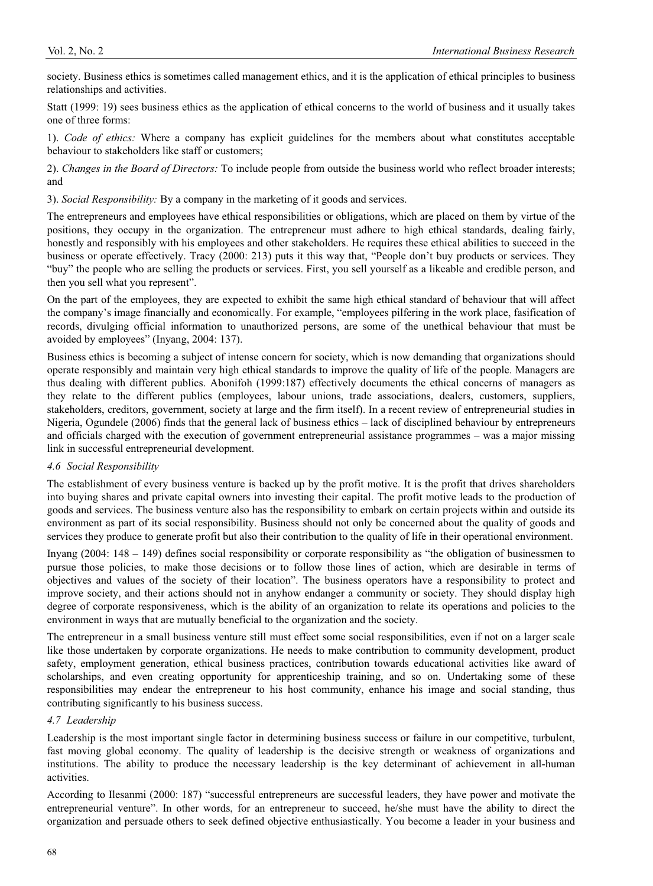society. Business ethics is sometimes called management ethics, and it is the application of ethical principles to business relationships and activities.

Statt (1999: 19) sees business ethics as the application of ethical concerns to the world of business and it usually takes one of three forms:

1). *Code of ethics:* Where a company has explicit guidelines for the members about what constitutes acceptable behaviour to stakeholders like staff or customers;

2). *Changes in the Board of Directors:* To include people from outside the business world who reflect broader interests; and

3). *Social Responsibility:* By a company in the marketing of it goods and services.

The entrepreneurs and employees have ethical responsibilities or obligations, which are placed on them by virtue of the positions, they occupy in the organization. The entrepreneur must adhere to high ethical standards, dealing fairly, honestly and responsibly with his employees and other stakeholders. He requires these ethical abilities to succeed in the business or operate effectively. Tracy (2000: 213) puts it this way that, "People don't buy products or services. They "buy" the people who are selling the products or services. First, you sell yourself as a likeable and credible person, and then you sell what you represent".

On the part of the employees, they are expected to exhibit the same high ethical standard of behaviour that will affect the company's image financially and economically. For example, "employees pilfering in the work place, fasification of records, divulging official information to unauthorized persons, are some of the unethical behaviour that must be avoided by employees" (Inyang, 2004: 137).

Business ethics is becoming a subject of intense concern for society, which is now demanding that organizations should operate responsibly and maintain very high ethical standards to improve the quality of life of the people. Managers are thus dealing with different publics. Abonifoh (1999:187) effectively documents the ethical concerns of managers as they relate to the different publics (employees, labour unions, trade associations, dealers, customers, suppliers, stakeholders, creditors, government, society at large and the firm itself). In a recent review of entrepreneurial studies in Nigeria, Ogundele (2006) finds that the general lack of business ethics – lack of disciplined behaviour by entrepreneurs and officials charged with the execution of government entrepreneurial assistance programmes – was a major missing link in successful entrepreneurial development.

## *4.6 Social Responsibility*

The establishment of every business venture is backed up by the profit motive. It is the profit that drives shareholders into buying shares and private capital owners into investing their capital. The profit motive leads to the production of goods and services. The business venture also has the responsibility to embark on certain projects within and outside its environment as part of its social responsibility. Business should not only be concerned about the quality of goods and services they produce to generate profit but also their contribution to the quality of life in their operational environment.

Inyang (2004: 148 – 149) defines social responsibility or corporate responsibility as "the obligation of businessmen to pursue those policies, to make those decisions or to follow those lines of action, which are desirable in terms of objectives and values of the society of their location". The business operators have a responsibility to protect and improve society, and their actions should not in anyhow endanger a community or society. They should display high degree of corporate responsiveness, which is the ability of an organization to relate its operations and policies to the environment in ways that are mutually beneficial to the organization and the society.

The entrepreneur in a small business venture still must effect some social responsibilities, even if not on a larger scale like those undertaken by corporate organizations. He needs to make contribution to community development, product safety, employment generation, ethical business practices, contribution towards educational activities like award of scholarships, and even creating opportunity for apprenticeship training, and so on. Undertaking some of these responsibilities may endear the entrepreneur to his host community, enhance his image and social standing, thus contributing significantly to his business success.

# *4.7 Leadership*

Leadership is the most important single factor in determining business success or failure in our competitive, turbulent, fast moving global economy. The quality of leadership is the decisive strength or weakness of organizations and institutions. The ability to produce the necessary leadership is the key determinant of achievement in all-human activities.

According to Ilesanmi (2000: 187) "successful entrepreneurs are successful leaders, they have power and motivate the entrepreneurial venture". In other words, for an entrepreneur to succeed, he/she must have the ability to direct the organization and persuade others to seek defined objective enthusiastically. You become a leader in your business and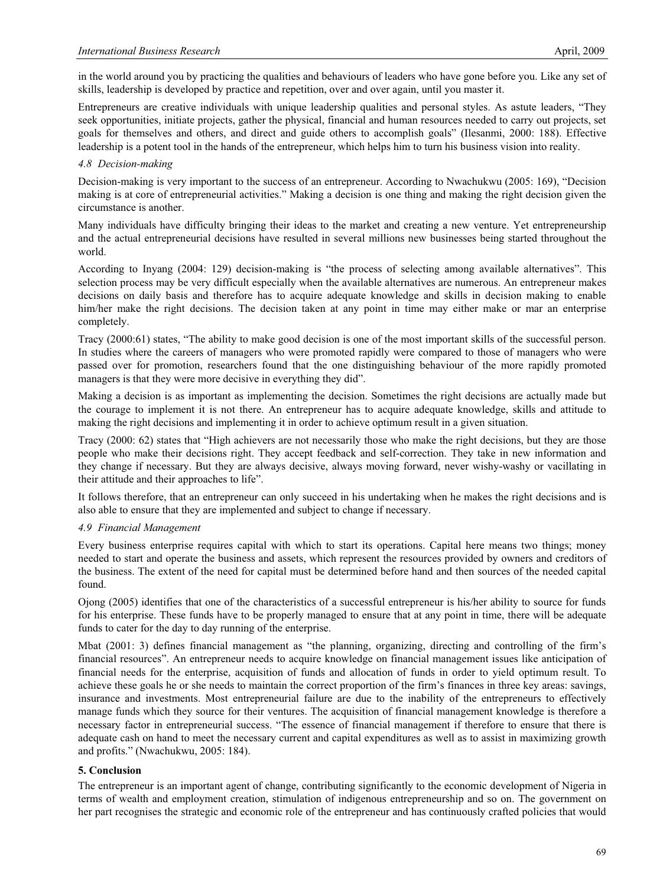in the world around you by practicing the qualities and behaviours of leaders who have gone before you. Like any set of skills, leadership is developed by practice and repetition, over and over again, until you master it.

Entrepreneurs are creative individuals with unique leadership qualities and personal styles. As astute leaders, "They seek opportunities, initiate projects, gather the physical, financial and human resources needed to carry out projects, set goals for themselves and others, and direct and guide others to accomplish goals" (Ilesanmi, 2000: 188). Effective leadership is a potent tool in the hands of the entrepreneur, which helps him to turn his business vision into reality.

## *4.8 Decision-making*

Decision-making is very important to the success of an entrepreneur. According to Nwachukwu (2005: 169), "Decision making is at core of entrepreneurial activities." Making a decision is one thing and making the right decision given the circumstance is another.

Many individuals have difficulty bringing their ideas to the market and creating a new venture. Yet entrepreneurship and the actual entrepreneurial decisions have resulted in several millions new businesses being started throughout the world.

According to Inyang (2004: 129) decision-making is "the process of selecting among available alternatives". This selection process may be very difficult especially when the available alternatives are numerous. An entrepreneur makes decisions on daily basis and therefore has to acquire adequate knowledge and skills in decision making to enable him/her make the right decisions. The decision taken at any point in time may either make or mar an enterprise completely.

Tracy (2000:61) states, "The ability to make good decision is one of the most important skills of the successful person. In studies where the careers of managers who were promoted rapidly were compared to those of managers who were passed over for promotion, researchers found that the one distinguishing behaviour of the more rapidly promoted managers is that they were more decisive in everything they did".

Making a decision is as important as implementing the decision. Sometimes the right decisions are actually made but the courage to implement it is not there. An entrepreneur has to acquire adequate knowledge, skills and attitude to making the right decisions and implementing it in order to achieve optimum result in a given situation.

Tracy (2000: 62) states that "High achievers are not necessarily those who make the right decisions, but they are those people who make their decisions right. They accept feedback and self-correction. They take in new information and they change if necessary. But they are always decisive, always moving forward, never wishy-washy or vacillating in their attitude and their approaches to life".

It follows therefore, that an entrepreneur can only succeed in his undertaking when he makes the right decisions and is also able to ensure that they are implemented and subject to change if necessary.

## *4.9 Financial Management*

Every business enterprise requires capital with which to start its operations. Capital here means two things; money needed to start and operate the business and assets, which represent the resources provided by owners and creditors of the business. The extent of the need for capital must be determined before hand and then sources of the needed capital found.

Ojong (2005) identifies that one of the characteristics of a successful entrepreneur is his/her ability to source for funds for his enterprise. These funds have to be properly managed to ensure that at any point in time, there will be adequate funds to cater for the day to day running of the enterprise.

Mbat (2001: 3) defines financial management as "the planning, organizing, directing and controlling of the firm's financial resources". An entrepreneur needs to acquire knowledge on financial management issues like anticipation of financial needs for the enterprise, acquisition of funds and allocation of funds in order to yield optimum result. To achieve these goals he or she needs to maintain the correct proportion of the firm's finances in three key areas: savings, insurance and investments. Most entrepreneurial failure are due to the inability of the entrepreneurs to effectively manage funds which they source for their ventures. The acquisition of financial management knowledge is therefore a necessary factor in entrepreneurial success. "The essence of financial management if therefore to ensure that there is adequate cash on hand to meet the necessary current and capital expenditures as well as to assist in maximizing growth and profits." (Nwachukwu, 2005: 184).

## **5. Conclusion**

The entrepreneur is an important agent of change, contributing significantly to the economic development of Nigeria in terms of wealth and employment creation, stimulation of indigenous entrepreneurship and so on. The government on her part recognises the strategic and economic role of the entrepreneur and has continuously crafted policies that would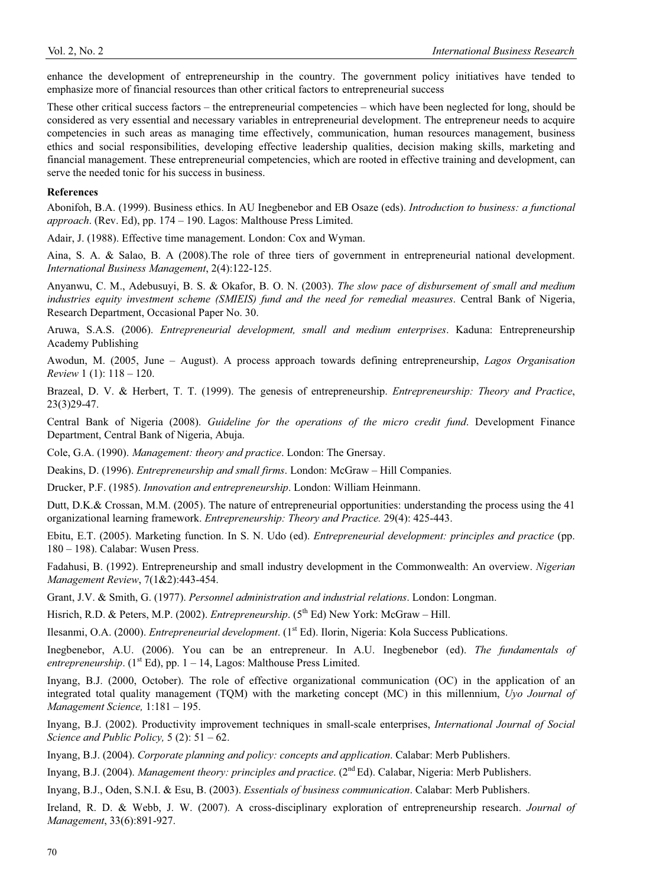enhance the development of entrepreneurship in the country. The government policy initiatives have tended to emphasize more of financial resources than other critical factors to entrepreneurial success

These other critical success factors – the entrepreneurial competencies – which have been neglected for long, should be considered as very essential and necessary variables in entrepreneurial development. The entrepreneur needs to acquire competencies in such areas as managing time effectively, communication, human resources management, business ethics and social responsibilities, developing effective leadership qualities, decision making skills, marketing and financial management. These entrepreneurial competencies, which are rooted in effective training and development, can serve the needed tonic for his success in business.

#### **References**

Abonifoh, B.A. (1999). Business ethics. In AU Inegbenebor and EB Osaze (eds). *Introduction to business: a functional approach*. (Rev. Ed), pp. 174 – 190. Lagos: Malthouse Press Limited.

Adair, J. (1988). Effective time management. London: Cox and Wyman.

Aina, S. A. & Salao, B. A (2008).The role of three tiers of government in entrepreneurial national development. *International Business Management*, 2(4):122-125.

Anyanwu, C. M., Adebusuyi, B. S. & Okafor, B. O. N. (2003). *The slow pace of disbursement of small and medium industries equity investment scheme (SMIEIS) fund and the need for remedial measures*. Central Bank of Nigeria, Research Department, Occasional Paper No. 30.

Aruwa, S.A.S. (2006). *Entrepreneurial development, small and medium enterprises*. Kaduna: Entrepreneurship Academy Publishing

Awodun, M. (2005, June – August). A process approach towards defining entrepreneurship, *Lagos Organisation Review* 1 (1): 118 – 120.

Brazeal, D. V. & Herbert, T. T. (1999). The genesis of entrepreneurship. *Entrepreneurship: Theory and Practice*, 23(3)29-47.

Central Bank of Nigeria (2008). *Guideline for the operations of the micro credit fund*. Development Finance Department, Central Bank of Nigeria, Abuja.

Cole, G.A. (1990). *Management: theory and practice*. London: The Gnersay.

Deakins, D. (1996). *Entrepreneurship and small firms*. London: McGraw – Hill Companies.

Drucker, P.F. (1985). *Innovation and entrepreneurship*. London: William Heinmann.

Dutt, D.K.& Crossan, M.M. (2005). The nature of entrepreneurial opportunities: understanding the process using the 41 organizational learning framework. *Entrepreneurship: Theory and Practice.* 29(4): 425-443.

Ebitu, E.T. (2005). Marketing function. In S. N. Udo (ed). *Entrepreneurial development: principles and practice* (pp. 180 – 198). Calabar: Wusen Press.

Fadahusi, B. (1992). Entrepreneurship and small industry development in the Commonwealth: An overview. *Nigerian Management Review*, 7(1&2):443-454.

Grant, J.V. & Smith, G. (1977). *Personnel administration and industrial relations*. London: Longman.

Hisrich, R.D. & Peters, M.P. (2002). *Entrepreneurship.* (5<sup>th</sup> Ed) New York: McGraw – Hill.

Ilesanmi, O.A. (2000). *Entrepreneurial development*. (1<sup>st</sup> Ed). Ilorin, Nigeria: Kola Success Publications.

Inegbenebor, A.U. (2006). You can be an entrepreneur. In A.U. Inegbenebor (ed). *The fundamentals of entrepreneurship.* ( $1<sup>st</sup> Ed$ ), pp. 1 – 14, Lagos: Malthouse Press Limited.

Inyang, B.J. (2000, October). The role of effective organizational communication (OC) in the application of an integrated total quality management (TQM) with the marketing concept (MC) in this millennium, *Uyo Journal of Management Science,* 1:181 – 195.

Inyang, B.J. (2002). Productivity improvement techniques in small-scale enterprises, *International Journal of Social Science and Public Policy,* 5 (2): 51 – 62.

Inyang, B.J. (2004). *Corporate planning and policy: concepts and application*. Calabar: Merb Publishers.

Inyang, B.J. (2004). *Management theory: principles and practice*. (2nd Ed). Calabar, Nigeria: Merb Publishers.

Inyang, B.J., Oden, S.N.I. & Esu, B. (2003). *Essentials of business communication*. Calabar: Merb Publishers.

Ireland, R. D. & Webb, J. W. (2007). A cross-disciplinary exploration of entrepreneurship research. *Journal of Management*, 33(6):891-927.